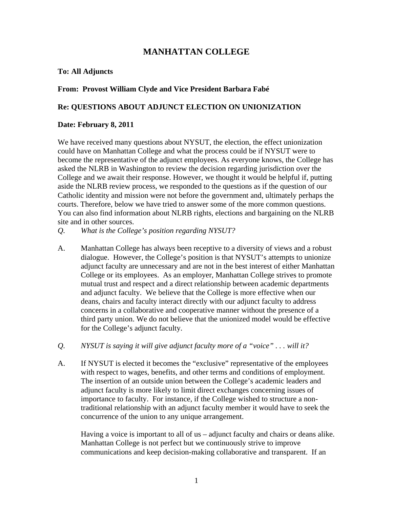# **MANHATTAN COLLEGE**

### **To: All Adjuncts**

### **From: Provost William Clyde and Vice President Barbara Fabé**

### **Re: QUESTIONS ABOUT ADJUNCT ELECTION ON UNIONIZATION**

#### **Date: February 8, 2011**

We have received many questions about NYSUT, the election, the effect unionization could have on Manhattan College and what the process could be if NYSUT were to become the representative of the adjunct employees. As everyone knows, the College has asked the NLRB in Washington to review the decision regarding jurisdiction over the College and we await their response. However, we thought it would be helpful if, putting aside the NLRB review process, we responded to the questions as if the question of our Catholic identity and mission were not before the government and, ultimately perhaps the courts. Therefore, below we have tried to answer some of the more common questions. You can also find information about NLRB rights, elections and bargaining on the NLRB site and in other sources.

- *Q. What is the College's position regarding NYSUT?*
- A. Manhattan College has always been receptive to a diversity of views and a robust dialogue. However, the College's position is that NYSUT's attempts to unionize adjunct faculty are unnecessary and are not in the best interest of either Manhattan College or its employees. As an employer, Manhattan College strives to promote mutual trust and respect and a direct relationship between academic departments and adjunct faculty. We believe that the College is more effective when our deans, chairs and faculty interact directly with our adjunct faculty to address concerns in a collaborative and cooperative manner without the presence of a third party union. We do not believe that the unionized model would be effective for the College's adjunct faculty.
- *Q. NYSUT is saying it will give adjunct faculty more of a "voice" . . . will it?*
- A. If NYSUT is elected it becomes the "exclusive" representative of the employees with respect to wages, benefits, and other terms and conditions of employment. The insertion of an outside union between the College's academic leaders and adjunct faculty is more likely to limit direct exchanges concerning issues of importance to faculty. For instance, if the College wished to structure a nontraditional relationship with an adjunct faculty member it would have to seek the concurrence of the union to any unique arrangement.

 Having a voice is important to all of us – adjunct faculty and chairs or deans alike. Manhattan College is not perfect but we continuously strive to improve communications and keep decision-making collaborative and transparent. If an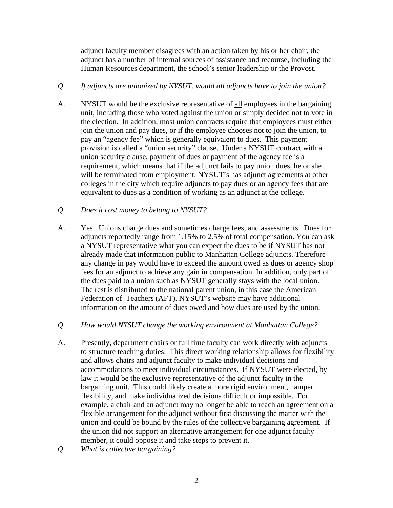adjunct faculty member disagrees with an action taken by his or her chair, the adjunct has a number of internal sources of assistance and recourse, including the Human Resources department, the school's senior leadership or the Provost.

### *Q. If adjuncts are unionized by NYSUT, would all adjuncts have to join the union?*

A. NYSUT would be the exclusive representative of all employees in the bargaining unit, including those who voted against the union or simply decided not to vote in the election. In addition, most union contracts require that employees must either join the union and pay dues, or if the employee chooses not to join the union, to pay an "agency fee" which is generally equivalent to dues. This payment provision is called a "union security" clause. Under a NYSUT contract with a union security clause, payment of dues or payment of the agency fee is a requirement, which means that if the adjunct fails to pay union dues, he or she will be terminated from employment. NYSUT's has adjunct agreements at other colleges in the city which require adjuncts to pay dues or an agency fees that are equivalent to dues as a condition of working as an adjunct at the college.

# *Q. Does it cost money to belong to NYSUT?*

A. Yes. Unions charge dues and sometimes charge fees, and assessments. Dues for adjuncts reportedly range from 1.15% to 2.5% of total compensation. You can ask a NYSUT representative what you can expect the dues to be if NYSUT has not already made that information public to Manhattan College adjuncts. Therefore any change in pay would have to exceed the amount owed as dues or agency shop fees for an adjunct to achieve any gain in compensation. In addition, only part of the dues paid to a union such as NYSUT generally stays with the local union. The rest is distributed to the national parent union, in this case the American Federation of Teachers (AFT). NYSUT's website may have additional information on the amount of dues owed and how dues are used by the union.

# *Q. How would NYSUT change the working environment at Manhattan College?*

- A. Presently, department chairs or full time faculty can work directly with adjuncts to structure teaching duties. This direct working relationship allows for flexibility and allows chairs and adjunct faculty to make individual decisions and accommodations to meet individual circumstances. If NYSUT were elected, by law it would be the exclusive representative of the adjunct faculty in the bargaining unit. This could likely create a more rigid environment, hamper flexibility, and make individualized decisions difficult or impossible. For example, a chair and an adjunct may no longer be able to reach an agreement on a flexible arrangement for the adjunct without first discussing the matter with the union and could be bound by the rules of the collective bargaining agreement. If the union did not support an alternative arrangement for one adjunct faculty member, it could oppose it and take steps to prevent it.
- *Q. What is collective bargaining?*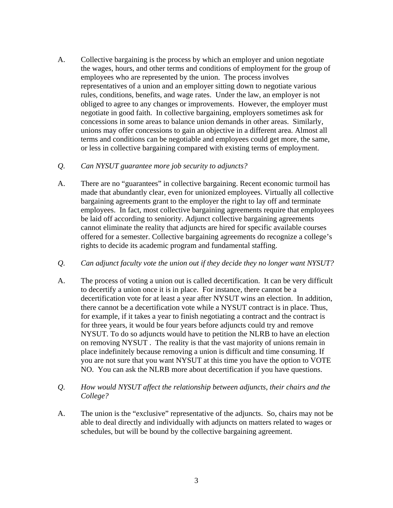A. Collective bargaining is the process by which an employer and union negotiate the wages, hours, and other terms and conditions of employment for the group of employees who are represented by the union. The process involves representatives of a union and an employer sitting down to negotiate various rules, conditions, benefits, and wage rates. Under the law, an employer is not obliged to agree to any changes or improvements. However, the employer must negotiate in good faith. In collective bargaining, employers sometimes ask for concessions in some areas to balance union demands in other areas. Similarly, unions may offer concessions to gain an objective in a different area. Almost all terms and conditions can be negotiable and employees could get more, the same, or less in collective bargaining compared with existing terms of employment.

# *Q. Can NYSUT guarantee more job security to adjuncts?*

- A. There are no "guarantees" in collective bargaining. Recent economic turmoil has made that abundantly clear, even for unionized employees. Virtually all collective bargaining agreements grant to the employer the right to lay off and terminate employees. In fact, most collective bargaining agreements require that employees be laid off according to seniority. Adjunct collective bargaining agreements cannot eliminate the reality that adjuncts are hired for specific available courses offered for a semester. Collective bargaining agreements do recognize a college's rights to decide its academic program and fundamental staffing.
- *Q. Can adjunct faculty vote the union out if they decide they no longer want NYSUT?*
- A. The process of voting a union out is called decertification. It can be very difficult to decertify a union once it is in place. For instance, there cannot be a decertification vote for at least a year after NYSUT wins an election. In addition, there cannot be a decertification vote while a NYSUT contract is in place. Thus, for example, if it takes a year to finish negotiating a contract and the contract is for three years, it would be four years before adjuncts could try and remove NYSUT. To do so adjuncts would have to petition the NLRB to have an election on removing NYSUT . The reality is that the vast majority of unions remain in place indefinitely because removing a union is difficult and time consuming. If you are not sure that you want NYSUT at this time you have the option to VOTE NO. You can ask the NLRB more about decertification if you have questions.
- *Q. How would NYSUT affect the relationship between adjuncts, their chairs and the College?*
- A. The union is the "exclusive" representative of the adjuncts. So, chairs may not be able to deal directly and individually with adjuncts on matters related to wages or schedules, but will be bound by the collective bargaining agreement.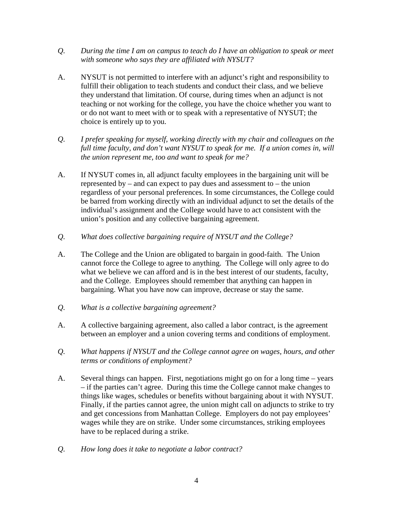- *Q. During the time I am on campus to teach do I have an obligation to speak or meet with someone who says they are affiliated with NYSUT?*
- A. NYSUT is not permitted to interfere with an adjunct's right and responsibility to fulfill their obligation to teach students and conduct their class, and we believe they understand that limitation. Of course, during times when an adjunct is not teaching or not working for the college, you have the choice whether you want to or do not want to meet with or to speak with a representative of NYSUT; the choice is entirely up to you.
- *Q. I prefer speaking for myself, working directly with my chair and colleagues on the*  full time faculty, and don't want NYSUT to speak for me. If a union comes in, will *the union represent me, too and want to speak for me?*
- A. If NYSUT comes in, all adjunct faculty employees in the bargaining unit will be represented by – and can expect to pay dues and assessment to – the union regardless of your personal preferences. In some circumstances, the College could be barred from working directly with an individual adjunct to set the details of the individual's assignment and the College would have to act consistent with the union's position and any collective bargaining agreement.
- *Q. What does collective bargaining require of NYSUT and the College?*
- A. The College and the Union are obligated to bargain in good-faith. The Union cannot force the College to agree to anything. The College will only agree to do what we believe we can afford and is in the best interest of our students, faculty, and the College. Employees should remember that anything can happen in bargaining. What you have now can improve, decrease or stay the same.
- *Q. What is a collective bargaining agreement?*
- A. A collective bargaining agreement, also called a labor contract, is the agreement between an employer and a union covering terms and conditions of employment.
- *Q. What happens if NYSUT and the College cannot agree on wages, hours, and other terms or conditions of employment?*
- A. Several things can happen. First, negotiations might go on for a long time years – if the parties can't agree. During this time the College cannot make changes to things like wages, schedules or benefits without bargaining about it with NYSUT. Finally, if the parties cannot agree, the union might call on adjuncts to strike to try and get concessions from Manhattan College. Employers do not pay employees' wages while they are on strike. Under some circumstances, striking employees have to be replaced during a strike.
- *Q. How long does it take to negotiate a labor contract?*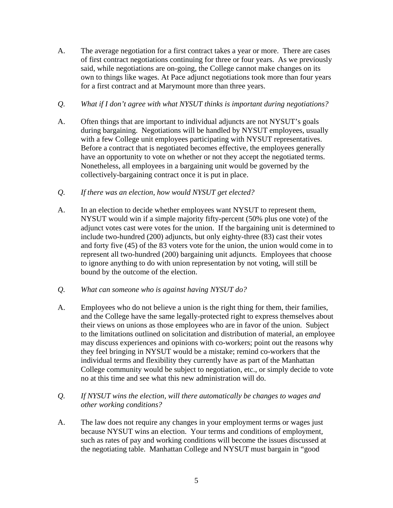- A. The average negotiation for a first contract takes a year or more. There are cases of first contract negotiations continuing for three or four years. As we previously said, while negotiations are on-going, the College cannot make changes on its own to things like wages. At Pace adjunct negotiations took more than four years for a first contract and at Marymount more than three years.
- *Q. What if I don't agree with what NYSUT thinks is important during negotiations?*
- A. Often things that are important to individual adjuncts are not NYSUT's goals during bargaining. Negotiations will be handled by NYSUT employees, usually with a few College unit employees participating with NYSUT representatives. Before a contract that is negotiated becomes effective, the employees generally have an opportunity to vote on whether or not they accept the negotiated terms. Nonetheless, all employees in a bargaining unit would be governed by the collectively-bargaining contract once it is put in place.
- *Q. If there was an election, how would NYSUT get elected?*
- A. In an election to decide whether employees want NYSUT to represent them, NYSUT would win if a simple majority fifty-percent (50% plus one vote) of the adjunct votes cast were votes for the union. If the bargaining unit is determined to include two-hundred (200) adjuncts, but only eighty-three (83) cast their votes and forty five (45) of the 83 voters vote for the union, the union would come in to represent all two-hundred (200) bargaining unit adjuncts. Employees that choose to ignore anything to do with union representation by not voting, will still be bound by the outcome of the election.
- *Q. What can someone who is against having NYSUT do?*
- A. Employees who do not believe a union is the right thing for them, their families, and the College have the same legally-protected right to express themselves about their views on unions as those employees who are in favor of the union. Subject to the limitations outlined on solicitation and distribution of material, an employee may discuss experiences and opinions with co-workers; point out the reasons why they feel bringing in NYSUT would be a mistake; remind co-workers that the individual terms and flexibility they currently have as part of the Manhattan College community would be subject to negotiation, etc., or simply decide to vote no at this time and see what this new administration will do.
- *Q. If NYSUT wins the election, will there automatically be changes to wages and other working conditions?*
- A. The law does not require any changes in your employment terms or wages just because NYSUT wins an election. Your terms and conditions of employment, such as rates of pay and working conditions will become the issues discussed at the negotiating table. Manhattan College and NYSUT must bargain in "good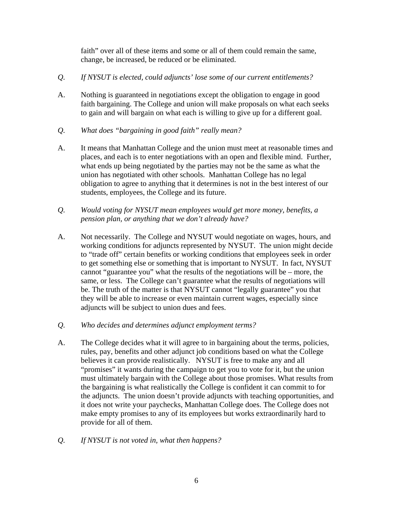faith" over all of these items and some or all of them could remain the same, change, be increased, be reduced or be eliminated.

- *Q. If NYSUT is elected, could adjuncts' lose some of our current entitlements?*
- A. Nothing is guaranteed in negotiations except the obligation to engage in good faith bargaining. The College and union will make proposals on what each seeks to gain and will bargain on what each is willing to give up for a different goal.
- *Q. What does "bargaining in good faith" really mean?*
- A. It means that Manhattan College and the union must meet at reasonable times and places, and each is to enter negotiations with an open and flexible mind. Further, what ends up being negotiated by the parties may not be the same as what the union has negotiated with other schools. Manhattan College has no legal obligation to agree to anything that it determines is not in the best interest of our students, employees, the College and its future.
- *Q. Would voting for NYSUT mean employees would get more money, benefits, a pension plan, or anything that we don't already have?*
- A. Not necessarily. The College and NYSUT would negotiate on wages, hours, and working conditions for adjuncts represented by NYSUT. The union might decide to "trade off" certain benefits or working conditions that employees seek in order to get something else or something that is important to NYSUT. In fact, NYSUT cannot "guarantee you" what the results of the negotiations will be – more, the same, or less. The College can't guarantee what the results of negotiations will be. The truth of the matter is that NYSUT cannot "legally guarantee" you that they will be able to increase or even maintain current wages, especially since adjuncts will be subject to union dues and fees.
- *Q. Who decides and determines adjunct employment terms?*
- A. The College decides what it will agree to in bargaining about the terms, policies, rules, pay, benefits and other adjunct job conditions based on what the College believes it can provide realistically. NYSUT is free to make any and all "promises" it wants during the campaign to get you to vote for it, but the union must ultimately bargain with the College about those promises. What results from the bargaining is what realistically the College is confident it can commit to for the adjuncts. The union doesn't provide adjuncts with teaching opportunities, and it does not write your paychecks, Manhattan College does. The College does not make empty promises to any of its employees but works extraordinarily hard to provide for all of them.
- *Q. If NYSUT is not voted in, what then happens?*